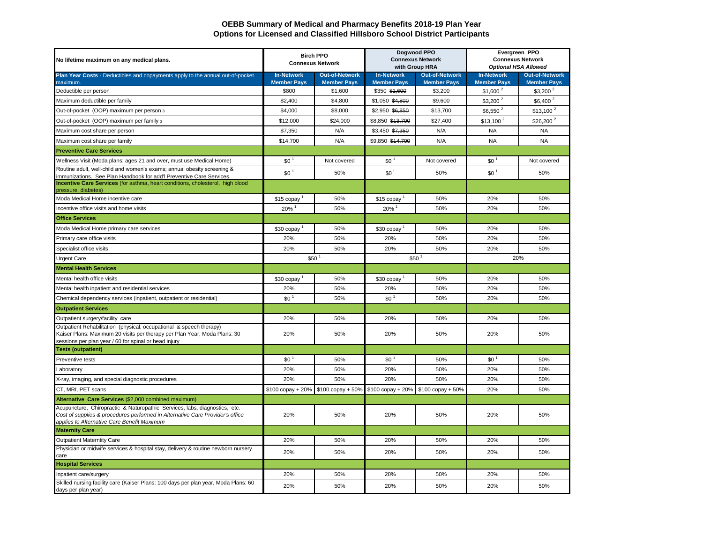## **OEBB Summary of Medical and Pharmacy Benefits 2018-19 Plan Year Options for Licensed and Classified Hillsboro School District Participants**

| No lifetime maximum on any medical plans.                                                                                                                                                                  | <b>Birch PPO</b><br><b>Connexus Network</b> |                                             | Dogwood PPO<br><b>Connexus Network</b><br>with Group HRA |                                             | Evergreen PPO<br><b>Connexus Network</b><br><b>Optional HSA Allowed</b> |                                             |
|------------------------------------------------------------------------------------------------------------------------------------------------------------------------------------------------------------|---------------------------------------------|---------------------------------------------|----------------------------------------------------------|---------------------------------------------|-------------------------------------------------------------------------|---------------------------------------------|
| Plan Year Costs - Deductibles and copayments apply to the annual out-of-pocket<br>maximum.                                                                                                                 | <b>In-Network</b><br><b>Member Pays</b>     | <b>Out-of-Network</b><br><b>Member Pays</b> | <b>In-Network</b><br><b>Member Pays</b>                  | <b>Out-of-Network</b><br><b>Member Pays</b> | <b>In-Network</b><br><b>Member Pays</b>                                 | <b>Out-of-Network</b><br><b>Member Pays</b> |
| Deductible per person                                                                                                                                                                                      | \$800                                       | \$1,600                                     | \$350 \$1,600                                            | \$3,200                                     | \$1,600 <sup>2</sup>                                                    | $$3,200^2$                                  |
| Maximum deductible per family                                                                                                                                                                              | \$2,400                                     | \$4,800                                     | \$1,050 \$4,800                                          | \$9,600                                     | $$3,200^2$                                                              | $$6,400^2$                                  |
| Out-of-pocket (OOP) maximum per person 3                                                                                                                                                                   | \$4,000                                     | \$8,000                                     | \$2,950 \$6,850                                          | \$13,700                                    | $$6,550$ <sup>2</sup>                                                   | \$13.100 <sup>2</sup>                       |
| Out-of-pocket (OOP) maximum per family 3                                                                                                                                                                   | \$12,000                                    | \$24,000                                    | \$8,850 \$13,700                                         | \$27,400                                    | $$13,100^2$                                                             | $$26,200^2$                                 |
| Maximum cost share per person                                                                                                                                                                              | \$7,350                                     | N/A                                         | \$3,450 \$7,350                                          | N/A                                         | <b>NA</b>                                                               | <b>NA</b>                                   |
| Maximum cost share per family                                                                                                                                                                              | \$14,700                                    | N/A                                         | \$9,850 \$14,700                                         | N/A                                         | <b>NA</b>                                                               | <b>NA</b>                                   |
| <b>Preventive Care Services</b>                                                                                                                                                                            |                                             |                                             |                                                          |                                             |                                                                         |                                             |
| Wellness Visit (Moda plans: ages 21 and over, must use Medical Home)                                                                                                                                       | \$0 <sup>1</sup>                            | Not covered                                 | \$0 <sup>1</sup>                                         | Not covered                                 | \$0 <sup>1</sup>                                                        | Not covered                                 |
| Routine adult, well-child and women's exams; annual obesity screening &<br>immunizations. See Plan Handbook for add'I Preventive Care Services.                                                            | \$0 <sup>1</sup>                            | 50%                                         | \$0 <sup>1</sup>                                         | 50%                                         | \$0 <sup>1</sup>                                                        | 50%                                         |
| Incentive Care Services (for asthma, heart conditions, cholesterol, high blood<br>pressure, diabetes)                                                                                                      |                                             |                                             |                                                          |                                             |                                                                         |                                             |
| Moda Medical Home incentive care                                                                                                                                                                           | \$15 copay                                  | 50%                                         | \$15 copay                                               | 50%                                         | 20%                                                                     | 50%                                         |
| Incentive office visits and home visits                                                                                                                                                                    | 20%                                         | 50%                                         | 20%                                                      | 50%                                         | 20%                                                                     | 50%                                         |
| <b>Office Services</b>                                                                                                                                                                                     |                                             |                                             |                                                          |                                             |                                                                         |                                             |
| Moda Medical Home primary care services                                                                                                                                                                    | \$30 copay                                  | 50%                                         | \$30 copay                                               | 50%                                         | 20%                                                                     | 50%                                         |
| Primary care office visits                                                                                                                                                                                 | 20%                                         | 50%                                         | 20%                                                      | 50%                                         | 20%                                                                     | 50%                                         |
| Specialist office visits                                                                                                                                                                                   | 20%                                         | 50%                                         | 20%                                                      | 50%                                         | 20%                                                                     | 50%                                         |
| <b>Urgent Care</b>                                                                                                                                                                                         | \$50                                        |                                             | \$50                                                     |                                             | 20%                                                                     |                                             |
| <b>Mental Health Services</b>                                                                                                                                                                              |                                             |                                             |                                                          |                                             |                                                                         |                                             |
| Mental health office visits                                                                                                                                                                                | \$30 copay                                  | 50%                                         | \$30 copay                                               | 50%                                         | 20%                                                                     | 50%                                         |
| Mental health inpatient and residential services                                                                                                                                                           | 20%                                         | 50%                                         | 20%                                                      | 50%                                         | 20%                                                                     | 50%                                         |
| Chemical dependency services (inpatient, outpatient or residential)                                                                                                                                        | \$0 <sup>1</sup>                            | 50%                                         | \$0 <sup>1</sup>                                         | 50%                                         | 20%                                                                     | 50%                                         |
| <b>Outpatient Services</b>                                                                                                                                                                                 |                                             |                                             |                                                          |                                             |                                                                         |                                             |
| Outpatient surgery/facility care                                                                                                                                                                           | 20%                                         | 50%                                         | 20%                                                      | 50%                                         | 20%                                                                     | 50%                                         |
| Outpatient Rehabilitation (physical, occupational & speech therapy)<br>Kaiser Plans: Maximum 20 visits per therapy per Plan Year, Moda Plans: 30<br>sessions per plan year / 60 for spinal or head injury  | 20%                                         | 50%                                         | 20%                                                      | 50%                                         | 20%                                                                     | 50%                                         |
| <b>Tests (outpatient)</b>                                                                                                                                                                                  |                                             |                                             |                                                          |                                             |                                                                         |                                             |
| Preventive tests                                                                                                                                                                                           | \$0 <sup>1</sup>                            | 50%                                         | \$0 <sup>1</sup>                                         | 50%                                         | \$0 <sup>1</sup>                                                        | 50%                                         |
| Laboratory                                                                                                                                                                                                 | 20%                                         | 50%                                         | 20%                                                      | 50%                                         | 20%                                                                     | 50%                                         |
| X-ray, imaging, and special diagnostic procedures                                                                                                                                                          | 20%                                         | 50%                                         | 20%                                                      | 50%                                         | 20%                                                                     | 50%                                         |
| CT, MRI, PET scans                                                                                                                                                                                         | $$100$ copay + 20%                          | \$100 copay + 50%                           | $$100$ copay + 20%                                       | $$100$ copay + 50%                          | 20%                                                                     | 50%                                         |
| Alternative Care Services (\$2,000 combined maximum)                                                                                                                                                       |                                             |                                             |                                                          |                                             |                                                                         |                                             |
| Acupuncture, Chiropractic & Naturopathic Services, labs, diagnostics, etc.<br>Cost of supplies & procedures performed in Alternative Care Provider's office<br>applies to Alternative Care Benefit Maximum | 20%                                         | 50%                                         | 20%                                                      | 50%                                         | 20%                                                                     | 50%                                         |
| <b>Maternity Care</b>                                                                                                                                                                                      |                                             |                                             |                                                          |                                             |                                                                         |                                             |
| <b>Outpatient Materntity Care</b>                                                                                                                                                                          | 20%                                         | 50%                                         | 20%                                                      | 50%                                         | 20%                                                                     | 50%                                         |
| Physician or midwife services & hospital stay, delivery & routine newborn nursery<br>care                                                                                                                  | 20%                                         | 50%                                         | 20%                                                      | 50%                                         | 20%                                                                     | 50%                                         |
| <b>Hospital Services</b>                                                                                                                                                                                   |                                             |                                             |                                                          |                                             |                                                                         |                                             |
| Inpatient care/surgery                                                                                                                                                                                     | 20%                                         | 50%                                         | 20%                                                      | 50%                                         | 20%                                                                     | 50%                                         |
| Skilled nursing facility care (Kaiser Plans: 100 days per plan year, Moda Plans: 60<br>days per plan year)                                                                                                 | 20%                                         | 50%                                         | 20%                                                      | 50%                                         | 20%                                                                     | 50%                                         |